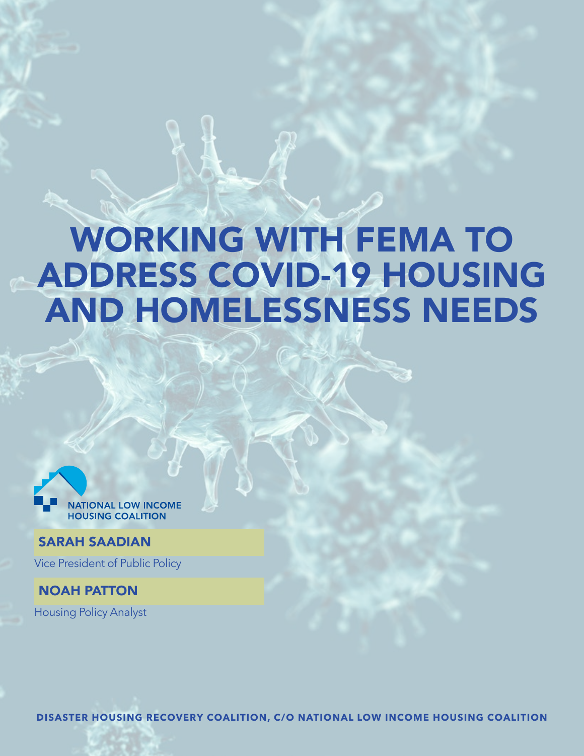# WORKING WITH FEMA TO ADDRESS COVID-19 HOUSING AND HOMELESSNESS NEEDS



### SARAH SAADIAN

Vice President of Public Policy

NOAH PATTON Housing Policy Analyst

**DISASTER HOUSING RECOVERY COALITION, C/O NATIONAL LOW INCOME HOUSING COALITION**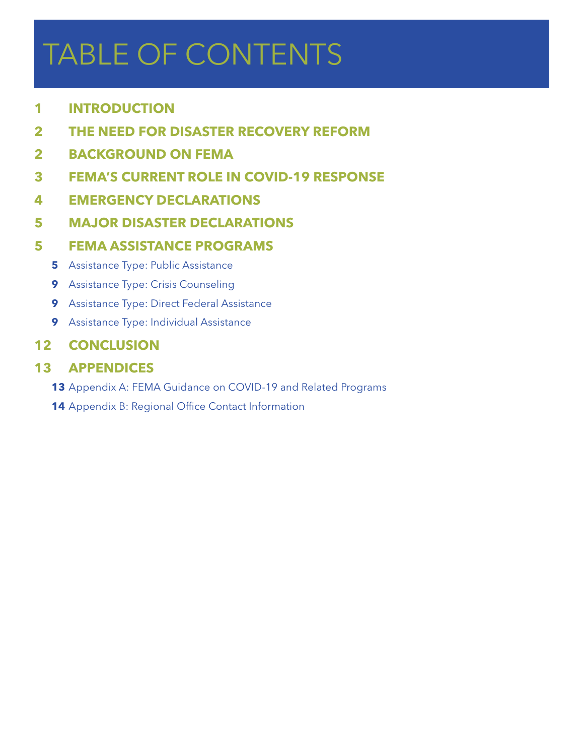# TABLE OF CONTENTS

- **INTRODUCTION**
- **THE NEED FOR DISASTER RECOVERY REFORM**
- **BACKGROUND ON FEMA**
- **[FEMA'S CURRENT ROLE IN COVID-19 RESPONSE](#page-6-0)**
- **[EMERGENCY DECLARATIONS](#page-6-0)**
- **[MAJOR DISASTER DECLARATIONS](#page-6-0)**

# **[FEMA ASSISTANCE PROGRAMS](#page-6-0)**

- Assistance Type: Public Assistance
- Assistance Type: Crisis Counseling
- Assistance Type: Direct Federal Assistance
- [Assistance Type: Individual Assistance](#page-10-0)

# **[CONCLUSION](#page-13-0)**

# **[APPENDICES](#page-14-0)**

- **[3](#page-14-0)** Appendix A: FEMA Guidance on COVID-19 and Related Programs
- **[4](#page-15-0)** Appendix B: Regional Office Contact Information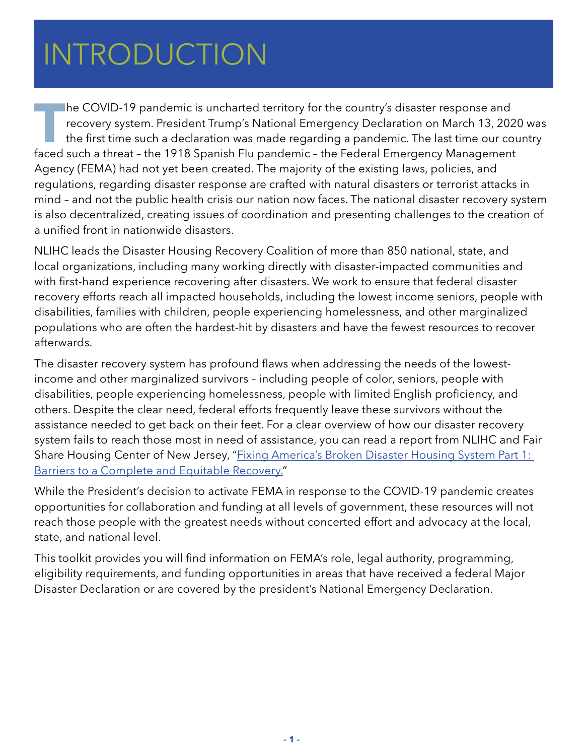# <span id="page-2-0"></span> $HITDOMICTIAN$ HATING DUCTION INTRODUCTION

**T**he COVID-19 pandemic is uncharted territory for the country's disaster response and recovery system. President Trump's National Emergency Declaration on March 13, 2020 was the first time such a declaration was made regarding a pandemic. The last time our country faced such a threat – the 1918 Spanish Flu pandemic – the Federal Emergency Management Agency (FEMA) had not yet been created. The majority of the existing laws, policies, and regulations, regarding disaster response are crafted with natural disasters or terrorist attacks in mind – and not the public health crisis our nation now faces. The national disaster recovery system is also decentralized, creating issues of coordination and presenting challenges to the creation of a unified front in nationwide disasters.

NLIHC leads the Disaster Housing Recovery Coalition of more than 850 national, state, and local organizations, including many working directly with disaster-impacted communities and with first-hand experience recovering after disasters. We work to ensure that federal disaster recovery efforts reach all impacted households, including the lowest income seniors, people with disabilities, families with children, people experiencing homelessness, and other marginalized populations who are often the hardest-hit by disasters and have the fewest resources to recover afterwards.

The disaster recovery system has profound flaws when addressing the needs of the lowestincome and other marginalized survivors – including people of color, seniors, people with disabilities, people experiencing homelessness, people with limited English proficiency, and others. Despite the clear need, federal efforts frequently leave these survivors without the assistance needed to get back on their feet. For a clear overview of how our disaster recovery system fails to reach those most in need of assistance, you can read a report from NLIHC and Fair Share Housing Center of New Jersey, "Fixing America's Broken Disaster Housing System Part 1: [Barriers to a Complete and Equitable Recovery."](https://nlihc.org/sites/default/files/Fixing-Americas-Broken-Disaster-Housing-Recovery-System_P1.pdf)

While the President's decision to activate FEMA in response to the COVID-19 pandemic creates opportunities for collaboration and funding at all levels of government, these resources will not reach those people with the greatest needs without concerted effort and advocacy at the local, state, and national level.

This toolkit provides you will find information on FEMA's role, legal authority, programming, eligibility requirements, and funding opportunities in areas that have received a federal Major Disaster Declaration or are covered by the president's National Emergency Declaration.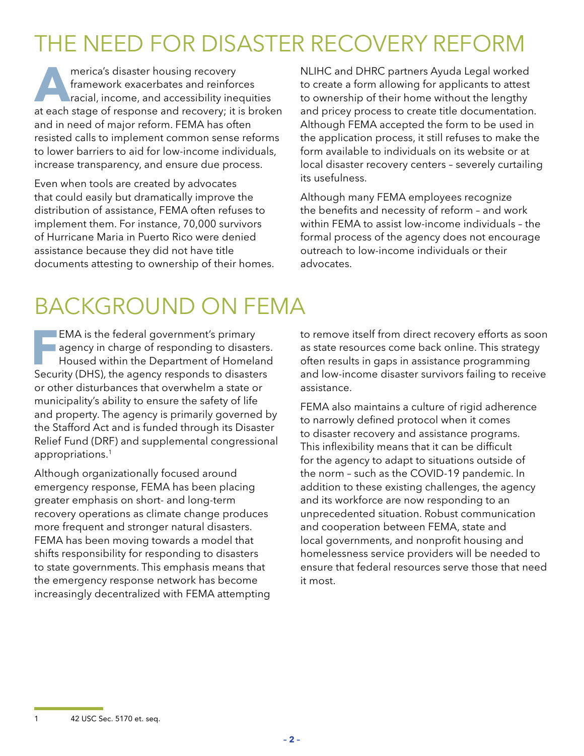# <span id="page-3-0"></span>THE NEED FOR DISASTER RECOVERY REFORM

**AMERICA CONTRACTES**<br> **AMERICA CONTRACTES**<br> **A**merical, income, and accessibility ine framework exacerbates and reinforces racial, income, and accessibility inequities at each stage of response and recovery; it is broken and in need of major reform. FEMA has often resisted calls to implement common sense reforms to lower barriers to aid for low-income individuals, increase transparency, and ensure due process.

Even when tools are created by advocates that could easily but dramatically improve the distribution of assistance, FEMA often refuses to implement them. For instance, 70,000 survivors of Hurricane Maria in Puerto Rico were denied assistance because they did not have title documents attesting to ownership of their homes. NLIHC and DHRC partners Ayuda Legal worked to create a form allowing for applicants to attest to ownership of their home without the lengthy and pricey process to create title documentation. Although FEMA accepted the form to be used in the application process, it still refuses to make the form available to individuals on its website or at local disaster recovery centers – severely curtailing its usefulness.

Although many FEMA employees recognize the benefits and necessity of reform – and work within FEMA to assist low-income individuals – the formal process of the agency does not encourage outreach to low-income individuals or their advocates.

# BACKGROUND ON FEMA

**FMA** is the federal government's primary<br>agency in charge of responding to disaste<br>Housed within the Department of Homela<br>Sequrity (DHS) the agency responds to disaste agency in charge of responding to disasters. Housed within the Department of Homeland Security (DHS), the agency responds to disasters or other disturbances that overwhelm a state or municipality's ability to ensure the safety of life and property. The agency is primarily governed by the Stafford Act and is funded through its Disaster Relief Fund (DRF) and supplemental congressional appropriations.1

Although organizationally focused around emergency response, FEMA has been placing greater emphasis on short- and long-term recovery operations as climate change produces more frequent and stronger natural disasters. FEMA has been moving towards a model that shifts responsibility for responding to disasters to state governments. This emphasis means that the emergency response network has become increasingly decentralized with FEMA attempting to remove itself from direct recovery efforts as soon as state resources come back online. This strategy often results in gaps in assistance programming and low-income disaster survivors failing to receive assistance.

FEMA also maintains a culture of rigid adherence to narrowly defined protocol when it comes to disaster recovery and assistance programs. This inflexibility means that it can be difficult for the agency to adapt to situations outside of the norm – such as the COVID-19 pandemic. In addition to these existing challenges, the agency and its workforce are now responding to an unprecedented situation. Robust communication and cooperation between FEMA, state and local governments, and nonprofit housing and homelessness service providers will be needed to ensure that federal resources serve those that need it most.

1 42 USC Sec. 5170 et. seq.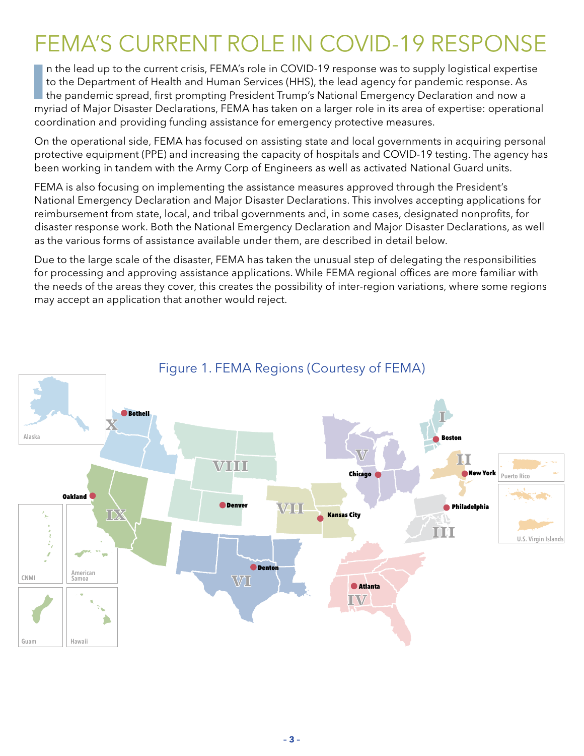# FEMA'S CURRENT ROLE IN COVID-19 RESPONSE

I**I** In the lead up to the current crisis, FEMA's role in COVID-19 response was to supply logistical expertistion to the Department of Health and Human Services (HHS), the lead agency for pandemic response. As the pandemic n the lead up to the current crisis, FEMA's role in COVID-19 response was to supply logistical expertise to the Department of Health and Human Services (HHS), the lead agency for pandemic response. As myriad of Major Disaster Declarations, FEMA has taken on a larger role in its area of expertise: operational coordination and providing funding assistance for emergency protective measures.

On the operational side, FEMA has focused on assisting state and local governments in acquiring personal protective equipment (PPE) and increasing the capacity of hospitals and COVID-19 testing. The agency has been working in tandem with the Army Corp of Engineers as well as activated National Guard units.

FEMA is also focusing on implementing the assistance measures approved through the President's National Emergency Declaration and Major Disaster Declarations. This involves accepting applications for reimbursement from state, local, and tribal governments and, in some cases, designated nonprofits, for disaster response work. Both the National Emergency Declaration and Major Disaster Declarations, as well as the various forms of assistance available under them, are described in detail below.

Due to the large scale of the disaster, FEMA has taken the unusual step of delegating the responsibilities for processing and approving assistance applications. While FEMA regional offices are more familiar with the needs of the areas they cover, this creates the possibility of inter-region variations, where some regions may accept an application that another would reject.



# Figure 1. FEMA Regions (Courtesy of FEMA)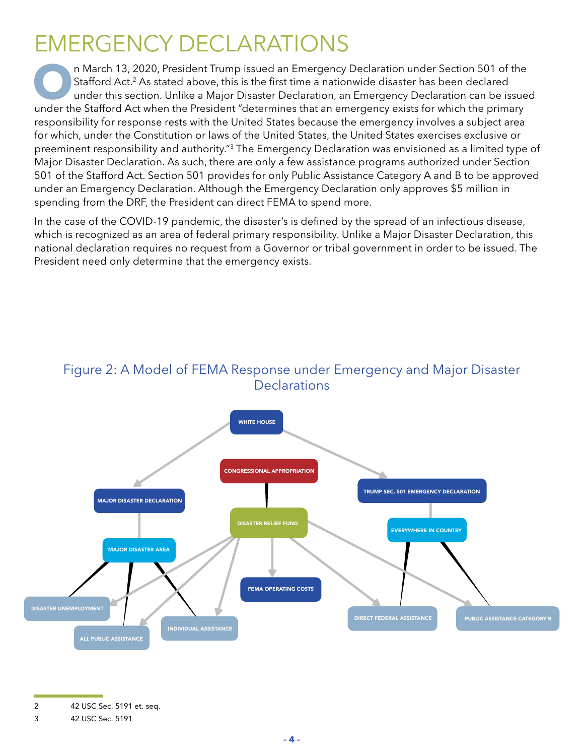# EMERGENCY DECLARATIONS

**O**n March 13, 2020, President Trump issued an Emergency Declaration under Section 501 of the Stafford Act.<sup>2</sup> As stated above, this is the first time a nationwide disaster has been declared under this section. Unlike a Ma Stafford Act.<sup>2</sup> As stated above, this is the first time a nationwide disaster has been declared under the Stafford Act when the President "determines that an emergency exists for which the primary responsibility for response rests with the United States because the emergency involves a subject area for which, under the Constitution or laws of the United States, the United States exercises exclusive or preeminent responsibility and authority."3 The Emergency Declaration was envisioned as a limited type of Major Disaster Declaration. As such, there are only a few assistance programs authorized under Section 501 of the Stafford Act. Section 501 provides for only Public Assistance Category A and B to be approved under an Emergency Declaration. Although the Emergency Declaration only approves \$5 million in spending from the DRF, the President can direct FEMA to spend more.

In the case of the COVID-19 pandemic, the disaster's is defined by the spread of an infectious disease, which is recognized as an area of federal primary responsibility. Unlike a Major Disaster Declaration, this national declaration requires no request from a Governor or tribal government in order to be issued. The President need only determine that the emergency exists.

#### Figure 2: A Model of FEMA Response under Emergency and Major Disaster **Declarations**



2 42 USC Sec. 5191 et. seq.

<sup>3 42</sup> USC Sec. 5191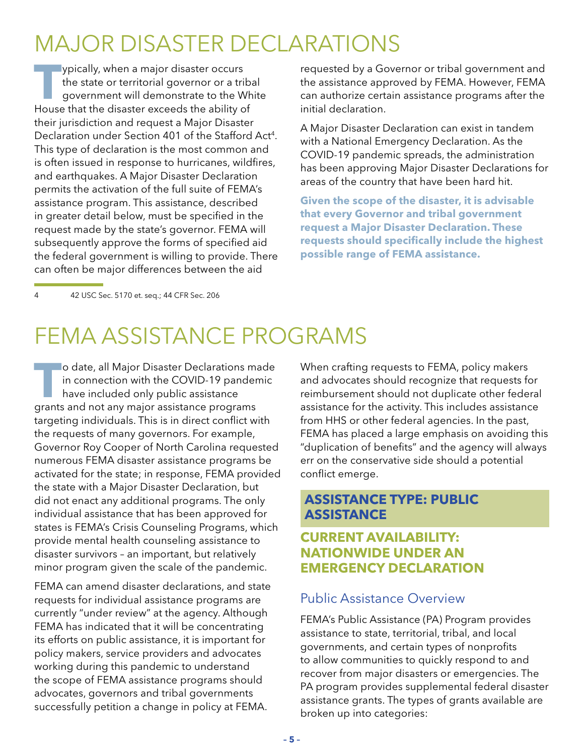# <span id="page-6-0"></span>MAJOR DISASTER DECLARATIONS

**T**ypically, when a major disaster occurs the state or territorial governor or a tribal government will demonstrate to the White House that the disaster exceeds the ability of their jurisdiction and request a Major Disaster Declaration under Section 401 of the Stafford Act<sup>4</sup>. This type of declaration is the most common and is often issued in response to hurricanes, wildfires, and earthquakes. A Major Disaster Declaration permits the activation of the full suite of FEMA's assistance program. This assistance, described in greater detail below, must be specified in the request made by the state's governor. FEMA will subsequently approve the forms of specified aid the federal government is willing to provide. There can often be major differences between the aid

requested by a Governor or tribal government and the assistance approved by FEMA. However, FEMA can authorize certain assistance programs after the initial declaration.

A Major Disaster Declaration can exist in tandem with a National Emergency Declaration. As the COVID-19 pandemic spreads, the administration has been approving Major Disaster Declarations for areas of the country that have been hard hit.

**Given the scope of the disaster, it is advisable that every Governor and tribal government request a Major Disaster Declaration. These requests should specifically include the highest possible range of FEMA assistance.** 

4 42 USC Sec. 5170 et. seq.; 44 CFR Sec. 206

# FEMA ASSISTANCE PROGRAMS

**T<sub>o</sub> Jo** date, all Major Disaster Declarations made in connection with the COVID-19 pandemic have included only public assistance grants and not any major assistance programs targeting individuals. This is in direct conflict with the requests of many governors. For example, Governor Roy Cooper of North Carolina requested numerous FEMA disaster assistance programs be activated for the state; in response, FEMA provided the state with a Major Disaster Declaration, but did not enact any additional programs. The only individual assistance that has been approved for states is FEMA's Crisis Counseling Programs, which provide mental health counseling assistance to disaster survivors – an important, but relatively minor program given the scale of the pandemic.

FEMA can amend disaster declarations, and state requests for individual assistance programs are currently "under review" at the agency. Although FEMA has indicated that it will be concentrating its efforts on public assistance, it is important for policy makers, service providers and advocates working during this pandemic to understand the scope of FEMA assistance programs should advocates, governors and tribal governments successfully petition a change in policy at FEMA.

When crafting requests to FEMA, policy makers and advocates should recognize that requests for reimbursement should not duplicate other federal assistance for the activity. This includes assistance from HHS or other federal agencies. In the past, FEMA has placed a large emphasis on avoiding this "duplication of benefits" and the agency will always err on the conservative side should a potential conflict emerge.

#### **ASSISTANCE TYPE: PUBLIC ASSISTANCE**

### **CURRENT AVAILABILITY: NATIONWIDE UNDER AN EMERGENCY DECLARATION**

### Public Assistance Overview

FEMA's Public Assistance (PA) Program provides assistance to state, territorial, tribal, and local governments, and certain types of nonprofits to allow communities to quickly respond to and recover from major disasters or emergencies. The PA program provides supplemental federal disaster assistance grants. The types of grants available are broken up into categories: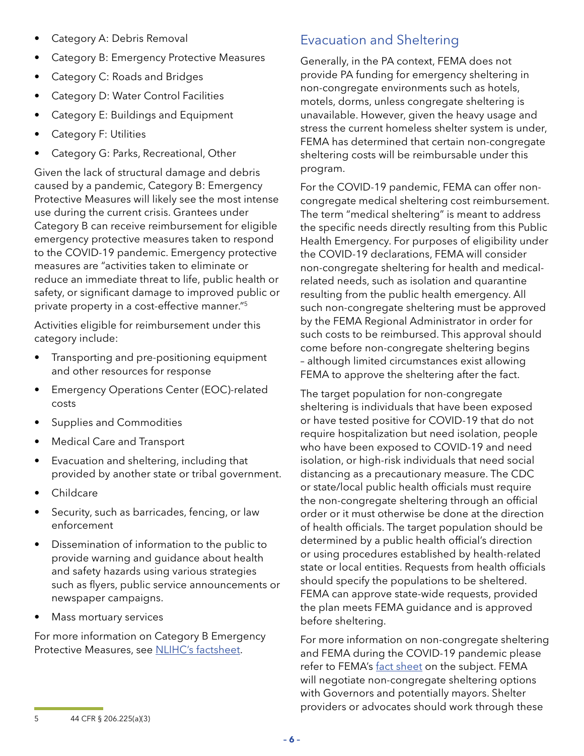- Category A: Debris Removal
- Category B: Emergency Protective Measures
- Category C: Roads and Bridges
- Category D: Water Control Facilities
- Category E: Buildings and Equipment
- Category F: Utilities
- Category G: Parks, Recreational, Other

Given the lack of structural damage and debris caused by a pandemic, Category B: Emergency Protective Measures will likely see the most intense use during the current crisis. Grantees under Category B can receive reimbursement for eligible emergency protective measures taken to respond to the COVID-19 pandemic. Emergency protective measures are "activities taken to eliminate or reduce an immediate threat to life, public health or safety, or significant damage to improved public or private property in a cost-effective manner."5

Activities eligible for reimbursement under this category include:

- Transporting and pre-positioning equipment and other resources for response
- Emergency Operations Center (EOC)-related costs
- Supplies and Commodities
- Medical Care and Transport
- Evacuation and sheltering, including that provided by another state or tribal government.
- Childcare
- Security, such as barricades, fencing, or law enforcement
- Dissemination of information to the public to provide warning and guidance about health and safety hazards using various strategies such as flyers, public service announcements or newspaper campaigns.
- Mass mortuary services

For more information on Category B Emergency Protective Measures, see [NLIHC's factsheet.](https://nlihc.org/sites/default/files/Category-FEMA-Public-Assistance-COVID-19-Crisis.pdf)

# Evacuation and Sheltering

Generally, in the PA context, FEMA does not provide PA funding for emergency sheltering in non-congregate environments such as hotels, motels, dorms, unless congregate sheltering is unavailable. However, given the heavy usage and stress the current homeless shelter system is under, FEMA has determined that certain non-congregate sheltering costs will be reimbursable under this program.

For the COVID-19 pandemic, FEMA can offer noncongregate medical sheltering cost reimbursement. The term "medical sheltering" is meant to address the specific needs directly resulting from this Public Health Emergency. For purposes of eligibility under the COVID-19 declarations, FEMA will consider non-congregate sheltering for health and medicalrelated needs, such as isolation and quarantine resulting from the public health emergency. All such non-congregate sheltering must be approved by the FEMA Regional Administrator in order for such costs to be reimbursed. This approval should come before non-congregate sheltering begins – although limited circumstances exist allowing FEMA to approve the sheltering after the fact.

The target population for non-congregate sheltering is individuals that have been exposed or have tested positive for COVID-19 that do not require hospitalization but need isolation, people who have been exposed to COVID-19 and need isolation, or high-risk individuals that need social distancing as a precautionary measure. The CDC or state/local public health officials must require the non-congregate sheltering through an official order or it must otherwise be done at the direction of health officials. The target population should be determined by a public health official's direction or using procedures established by health-related state or local entities. Requests from health officials should specify the populations to be sheltered. FEMA can approve state-wide requests, provided the plan meets FEMA guidance and is approved before sheltering.

For more information on non-congregate sheltering and FEMA during the COVID-19 pandemic please refer to FEMA's [fact sheet](https://www.fema.gov/news-release/2020/03/31/coronavirus-covid-19-pandemic-non-congregate-sheltering) on the subject. FEMA will negotiate non-congregate sheltering options with Governors and potentially mayors. Shelter providers or advocates should work through these

<sup>5 44</sup> CFR § 206.225(a)(3)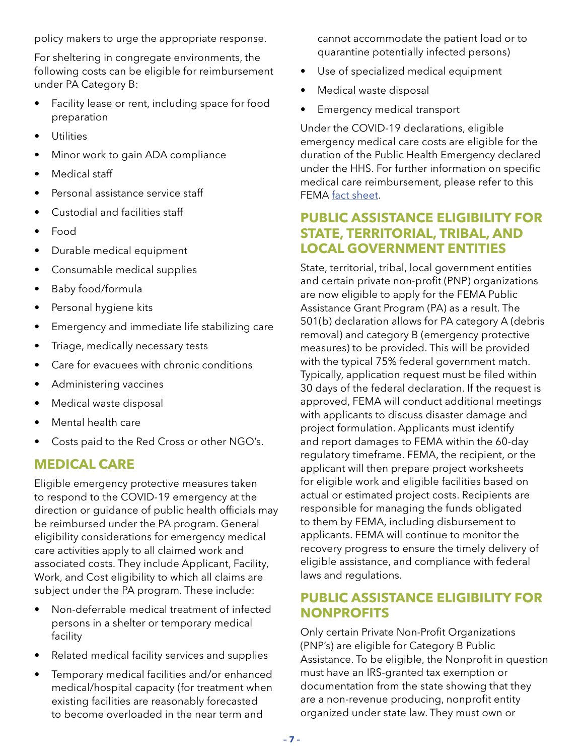policy makers to urge the appropriate response.

For sheltering in congregate environments, the following costs can be eligible for reimbursement under PA Category B:

- Facility lease or rent, including space for food preparation
- Utilities
- Minor work to gain ADA compliance
- Medical staff
- Personal assistance service staff
- Custodial and facilities staff
- Food
- Durable medical equipment
- Consumable medical supplies
- Baby food/formula
- Personal hygiene kits
- Emergency and immediate life stabilizing care
- Triage, medically necessary tests
- Care for evacuees with chronic conditions
- Administering vaccines
- Medical waste disposal
- Mental health care
- Costs paid to the Red Cross or other NGO's.

### **MEDICAL CARE**

Eligible emergency protective measures taken to respond to the COVID-19 emergency at the direction or guidance of public health officials may be reimbursed under the PA program. General eligibility considerations for emergency medical care activities apply to all claimed work and associated costs. They include Applicant, Facility, Work, and Cost eligibility to which all claims are subject under the PA program. These include:

- Non-deferrable medical treatment of infected persons in a shelter or temporary medical facility
- Related medical facility services and supplies
- Temporary medical facilities and/or enhanced medical/hospital capacity (for treatment when existing facilities are reasonably forecasted to become overloaded in the near term and

cannot accommodate the patient load or to quarantine potentially infected persons)

- Use of specialized medical equipment
- Medical waste disposal
- Emergency medical transport

Under the COVID-19 declarations, eligible emergency medical care costs are eligible for the duration of the Public Health Emergency declared under the HHS. For further information on specific medical care reimbursement, please refer to this FEMA [fact sheet.](https://www.fema.gov/news-release/2020/03/31/coronavirus-covid-19-pandemic-emergency-medical-care)

### **PUBLIC ASSISTANCE ELIGIBILITY FOR STATE, TERRITORIAL, TRIBAL, AND LOCAL GOVERNMENT ENTITIES**

State, territorial, tribal, local government entities and certain private non-profit (PNP) organizations are now eligible to apply for the FEMA Public Assistance Grant Program (PA) as a result. The 501(b) declaration allows for PA category A (debris removal) and category B (emergency protective measures) to be provided. This will be provided with the typical 75% federal government match. Typically, application request must be filed within 30 days of the federal declaration. If the request is approved, FEMA will conduct additional meetings with applicants to discuss disaster damage and project formulation. Applicants must identify and report damages to FEMA within the 60-day regulatory timeframe. FEMA, the recipient, or the applicant will then prepare project worksheets for eligible work and eligible facilities based on actual or estimated project costs. Recipients are responsible for managing the funds obligated to them by FEMA, including disbursement to applicants. FEMA will continue to monitor the recovery progress to ensure the timely delivery of eligible assistance, and compliance with federal laws and regulations.

### **PUBLIC ASSISTANCE ELIGIBILITY FOR NONPROFITS**

Only certain Private Non-Profit Organizations (PNP's) are eligible for Category B Public Assistance. To be eligible, the Nonprofit in question must have an IRS-granted tax exemption or documentation from the state showing that they are a non-revenue producing, nonprofit entity organized under state law. They must own or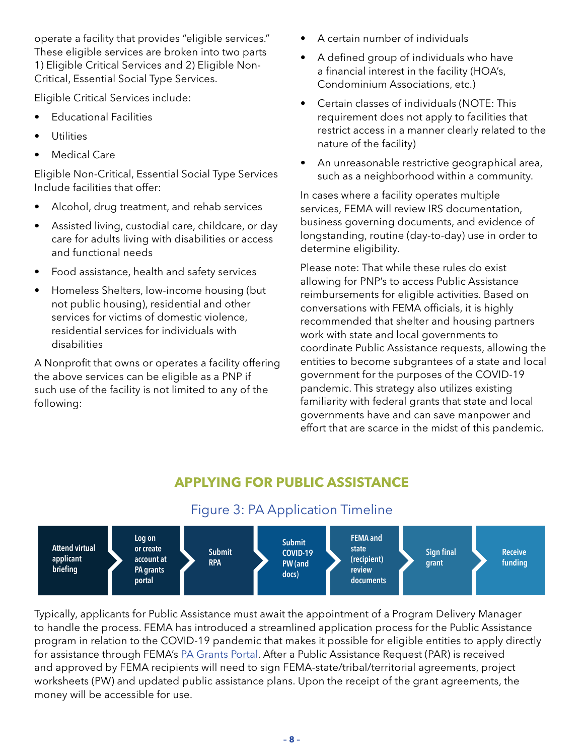operate a facility that provides "eligible services." These eligible services are broken into two parts 1) Eligible Critical Services and 2) Eligible Non-Critical, Essential Social Type Services.

Eligible Critical Services include:

- Educational Facilities
- **Utilities**
- **Medical Care**

Eligible Non-Critical, Essential Social Type Services Include facilities that offer:

- Alcohol, drug treatment, and rehab services
- Assisted living, custodial care, childcare, or day care for adults living with disabilities or access and functional needs
- Food assistance, health and safety services
- Homeless Shelters, low-income housing (but not public housing), residential and other services for victims of domestic violence, residential services for individuals with disabilities

A Nonprofit that owns or operates a facility offering the above services can be eligible as a PNP if such use of the facility is not limited to any of the following:

- A certain number of individuals
- A defined group of individuals who have a financial interest in the facility (HOA's, Condominium Associations, etc.)
- Certain classes of individuals (NOTE: This requirement does not apply to facilities that restrict access in a manner clearly related to the nature of the facility)
- An unreasonable restrictive geographical area, such as a neighborhood within a community.

In cases where a facility operates multiple services, FEMA will review IRS documentation, business governing documents, and evidence of longstanding, routine (day-to-day) use in order to determine eligibility.

Please note: That while these rules do exist allowing for PNP's to access Public Assistance reimbursements for eligible activities. Based on conversations with FEMA officials, it is highly recommended that shelter and housing partners work with state and local governments to coordinate Public Assistance requests, allowing the entities to become subgrantees of a state and local government for the purposes of the COVID-19 pandemic. This strategy also utilizes existing familiarity with federal grants that state and local governments have and can save manpower and effort that are scarce in the midst of this pandemic.

# **APPLYING FOR PUBLIC ASSISTANCE**

# Figure 3: PA Application Timeline



Typically, applicants for Public Assistance must await the appointment of a Program Delivery Manager to handle the process. FEMA has introduced a streamlined application process for the Public Assistance program in relation to the COVID-19 pandemic that makes it possible for eligible entities to apply directly for assistance through FEMA's [PA Grants Portal.](https://grantee.fema.gov/) After a Public Assistance Request (PAR) is received and approved by FEMA recipients will need to sign FEMA-state/tribal/territorial agreements, project worksheets (PW) and updated public assistance plans. Upon the receipt of the grant agreements, the money will be accessible for use.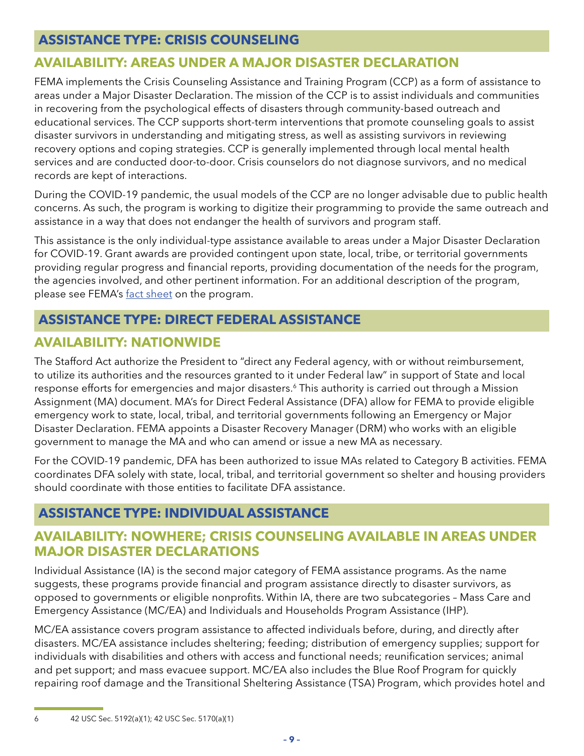### <span id="page-10-0"></span>**ASSISTANCE TYPE: CRISIS COUNSELING**

# **AVAILABILITY: AREAS UNDER A MAJOR DISASTER DECLARATION**

FEMA implements the Crisis Counseling Assistance and Training Program (CCP) as a form of assistance to areas under a Major Disaster Declaration. The mission of the CCP is to assist individuals and communities in recovering from the psychological effects of disasters through community-based outreach and educational services. The CCP supports short-term interventions that promote counseling goals to assist disaster survivors in understanding and mitigating stress, as well as assisting survivors in reviewing recovery options and coping strategies. CCP is generally implemented through local mental health services and are conducted door-to-door. Crisis counselors do not diagnose survivors, and no medical records are kept of interactions.

During the COVID-19 pandemic, the usual models of the CCP are no longer advisable due to public health concerns. As such, the program is working to digitize their programming to provide the same outreach and assistance in a way that does not endanger the health of survivors and program staff.

This assistance is the only individual-type assistance available to areas under a Major Disaster Declaration for COVID-19. Grant awards are provided contingent upon state, local, tribe, or territorial governments providing regular progress and financial reports, providing documentation of the needs for the program, the agencies involved, and other pertinent information. For an additional description of the program, please see FEMA's [fact sheet](https://www.fema.gov/media-library-data/1528985113410-3a25afaac233c0ad90a0c377e29d7e73/CrisisCounselingProgram.pdf) on the program.

# **ASSISTANCE TYPE: DIRECT FEDERAL ASSISTANCE**

# **AVAILABILITY: NATIONWIDE**

The Stafford Act authorize the President to "direct any Federal agency, with or without reimbursement, to utilize its authorities and the resources granted to it under Federal law" in support of State and local response efforts for emergencies and major disasters.<sup>6</sup> This authority is carried out through a Mission Assignment (MA) document. MA's for Direct Federal Assistance (DFA) allow for FEMA to provide eligible emergency work to state, local, tribal, and territorial governments following an Emergency or Major Disaster Declaration. FEMA appoints a Disaster Recovery Manager (DRM) who works with an eligible government to manage the MA and who can amend or issue a new MA as necessary.

For the COVID-19 pandemic, DFA has been authorized to issue MAs related to Category B activities. FEMA coordinates DFA solely with state, local, tribal, and territorial government so shelter and housing providers should coordinate with those entities to facilitate DFA assistance.

# **ASSISTANCE TYPE: INDIVIDUAL ASSISTANCE**

### **AVAILABILITY: NOWHERE; CRISIS COUNSELING AVAILABLE IN AREAS UNDER MAJOR DISASTER DECLARATIONS**

Individual Assistance (IA) is the second major category of FEMA assistance programs. As the name suggests, these programs provide financial and program assistance directly to disaster survivors, as opposed to governments or eligible nonprofits. Within IA, there are two subcategories – Mass Care and Emergency Assistance (MC/EA) and Individuals and Households Program Assistance (IHP).

MC/EA assistance covers program assistance to affected individuals before, during, and directly after disasters. MC/EA assistance includes sheltering; feeding; distribution of emergency supplies; support for individuals with disabilities and others with access and functional needs; reunification services; animal and pet support; and mass evacuee support. MC/EA also includes the Blue Roof Program for quickly repairing roof damage and the Transitional Sheltering Assistance (TSA) Program, which provides hotel and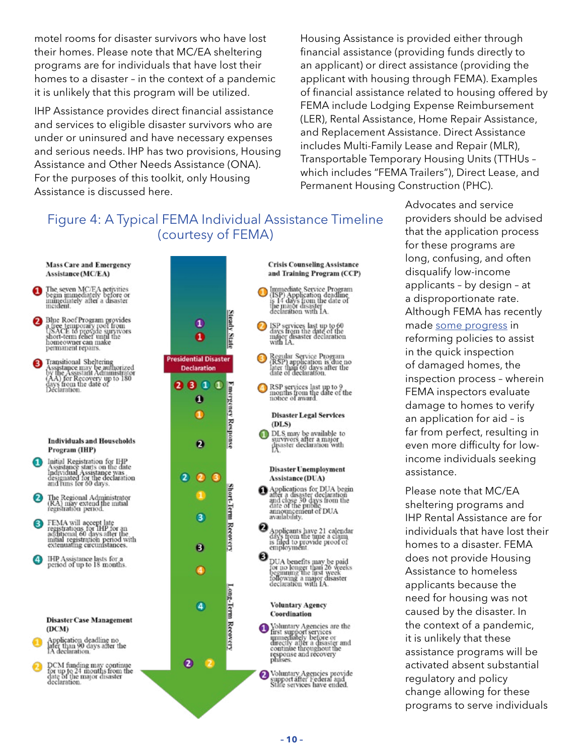motel rooms for disaster survivors who have lost their homes. Please note that MC/EA sheltering programs are for individuals that have lost their homes to a disaster – in the context of a pandemic it is unlikely that this program will be utilized.

IHP Assistance provides direct financial assistance and services to eligible disaster survivors who are under or uninsured and have necessary expenses and serious needs. IHP has two provisions, Housing Assistance and Other Needs Assistance (ONA). For the purposes of this toolkit, only Housing Assistance is discussed here.

Housing Assistance is provided either through financial assistance (providing funds directly to an applicant) or direct assistance (providing the applicant with housing through FEMA). Examples of financial assistance related to housing offered by FEMA include Lodging Expense Reimbursement (LER), Rental Assistance, Home Repair Assistance, and Replacement Assistance. Direct Assistance includes Multi-Family Lease and Repair (MLR), Transportable Temporary Housing Units (TTHUs – which includes "FEMA Trailers"), Direct Lease, and Permanent Housing Construction (PHC).

# Figure 4: A Typical FEMA Individual Assistance Timeline (courtesy of FEMA)





Advocates and service providers should be advised that the application process for these programs are long, confusing, and often disqualify low-income applicants – by design – at a disproportionate rate. Although FEMA has recently made [some progress](https://www.fema.gov/media-library-data/1584556901871-79327dd2ad783f3a4970b1a4c1a1539b/StreamlineInspectionProcessIndividualsandHouseholdsProgramPolicy.pdf) in reforming policies to assist in the quick inspection of damaged homes, the inspection process – wherein FEMA inspectors evaluate damage to homes to verify an application for aid – is far from perfect, resulting in even more difficulty for lowincome individuals seeking assistance.

Please note that MC/EA sheltering programs and IHP Rental Assistance are for individuals that have lost their homes to a disaster. FEMA does not provide Housing Assistance to homeless applicants because the need for housing was not caused by the disaster. In the context of a pandemic, it is unlikely that these assistance programs will be activated absent substantial regulatory and policy change allowing for these programs to serve individuals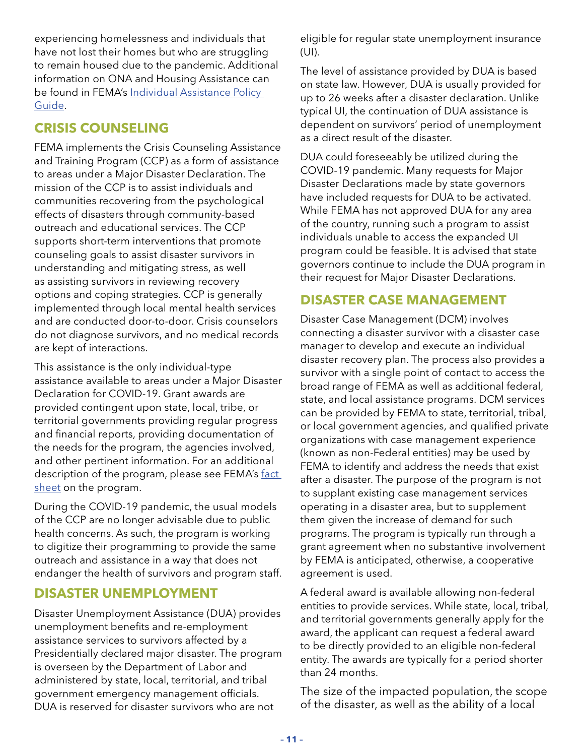experiencing homelessness and individuals that have not lost their homes but who are struggling to remain housed due to the pandemic. Additional information on ONA and Housing Assistance can be found in FEMA's Individual Assistance Policy [Guide](https://www.fema.gov/media-library-data/1551713430046-1abf12182d2d5e622d16accb37c4d163/IAPPG.pdf).

# **CRISIS COUNSELING**

FEMA implements the Crisis Counseling Assistance and Training Program (CCP) as a form of assistance to areas under a Major Disaster Declaration. The mission of the CCP is to assist individuals and communities recovering from the psychological effects of disasters through community-based outreach and educational services. The CCP supports short-term interventions that promote counseling goals to assist disaster survivors in understanding and mitigating stress, as well as assisting survivors in reviewing recovery options and coping strategies. CCP is generally implemented through local mental health services and are conducted door-to-door. Crisis counselors do not diagnose survivors, and no medical records are kept of interactions.

This assistance is the only individual-type assistance available to areas under a Major Disaster Declaration for COVID-19. Grant awards are provided contingent upon state, local, tribe, or territorial governments providing regular progress and financial reports, providing documentation of the needs for the program, the agencies involved, and other pertinent information. For an additional description of the program, please see FEMA's fact [sheet](https://www.fema.gov/media-library-data/1528985113410-3a25afaac233c0ad90a0c377e29d7e73/CrisisCounselingProgram.pdf) on the program.

During the COVID-19 pandemic, the usual models of the CCP are no longer advisable due to public health concerns. As such, the program is working to digitize their programming to provide the same outreach and assistance in a way that does not endanger the health of survivors and program staff.

### **DISASTER UNEMPLOYMENT**

Disaster Unemployment Assistance (DUA) provides unemployment benefits and re-employment assistance services to survivors affected by a Presidentially declared major disaster. The program is overseen by the Department of Labor and administered by state, local, territorial, and tribal government emergency management officials. DUA is reserved for disaster survivors who are not

eligible for regular state unemployment insurance (UI).

The level of assistance provided by DUA is based on state law. However, DUA is usually provided for up to 26 weeks after a disaster declaration. Unlike typical UI, the continuation of DUA assistance is dependent on survivors' period of unemployment as a direct result of the disaster.

DUA could foreseeably be utilized during the COVID-19 pandemic. Many requests for Major Disaster Declarations made by state governors have included requests for DUA to be activated. While FEMA has not approved DUA for any area of the country, running such a program to assist individuals unable to access the expanded UI program could be feasible. It is advised that state governors continue to include the DUA program in their request for Major Disaster Declarations.

### **DISASTER CASE MANAGEMENT**

Disaster Case Management (DCM) involves connecting a disaster survivor with a disaster case manager to develop and execute an individual disaster recovery plan. The process also provides a survivor with a single point of contact to access the broad range of FEMA as well as additional federal, state, and local assistance programs. DCM services can be provided by FEMA to state, territorial, tribal, or local government agencies, and qualified private organizations with case management experience (known as non-Federal entities) may be used by FEMA to identify and address the needs that exist after a disaster. The purpose of the program is not to supplant existing case management services operating in a disaster area, but to supplement them given the increase of demand for such programs. The program is typically run through a grant agreement when no substantive involvement by FEMA is anticipated, otherwise, a cooperative agreement is used.

A federal award is available allowing non-federal entities to provide services. While state, local, tribal, and territorial governments generally apply for the award, the applicant can request a federal award to be directly provided to an eligible non-federal entity. The awards are typically for a period shorter than 24 months.

The size of the impacted population, the scope of the disaster, as well as the ability of a local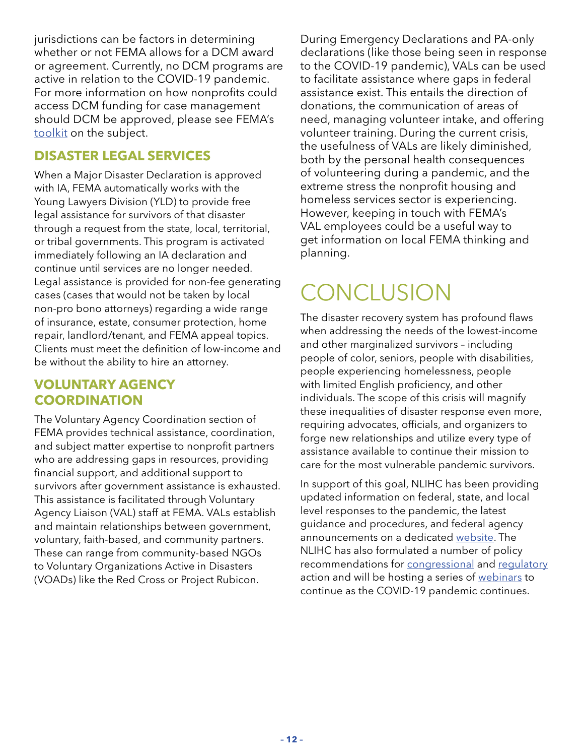<span id="page-13-0"></span>jurisdictions can be factors in determining whether or not FEMA allows for a DCM award or agreement. Currently, no DCM programs are active in relation to the COVID-19 pandemic. For more information on how nonprofits could access DCM funding for case management should DCM be approved, please see FEMA's [toolkit](https://www.fema.gov/media-library/assets/documents/101292) on the subject.

### **DISASTER LEGAL SERVICES**

When a Major Disaster Declaration is approved with IA, FEMA automatically works with the Young Lawyers Division (YLD) to provide free legal assistance for survivors of that disaster through a request from the state, local, territorial, or tribal governments. This program is activated immediately following an IA declaration and continue until services are no longer needed. Legal assistance is provided for non-fee generating cases (cases that would not be taken by local non-pro bono attorneys) regarding a wide range of insurance, estate, consumer protection, home repair, landlord/tenant, and FEMA appeal topics. Clients must meet the definition of low-income and be without the ability to hire an attorney.

### **VOLUNTARY AGENCY COORDINATION**

The Voluntary Agency Coordination section of FEMA provides technical assistance, coordination, and subject matter expertise to nonprofit partners who are addressing gaps in resources, providing financial support, and additional support to survivors after government assistance is exhausted. This assistance is facilitated through Voluntary Agency Liaison (VAL) staff at FEMA. VALs establish and maintain relationships between government, voluntary, faith-based, and community partners. These can range from community-based NGOs to Voluntary Organizations Active in Disasters (VOADs) like the Red Cross or Project Rubicon.

During Emergency Declarations and PA-only declarations (like those being seen in response to the COVID-19 pandemic), VALs can be used to facilitate assistance where gaps in federal assistance exist. This entails the direction of donations, the communication of areas of need, managing volunteer intake, and offering volunteer training. During the current crisis, the usefulness of VALs are likely diminished, both by the personal health consequences of volunteering during a pandemic, and the extreme stress the nonprofit housing and homeless services sector is experiencing. However, keeping in touch with FEMA's VAL employees could be a useful way to get information on local FEMA thinking and planning.

# **CONCLUSION**

The disaster recovery system has profound flaws when addressing the needs of the lowest-income and other marginalized survivors – including people of color, seniors, people with disabilities, people experiencing homelessness, people with limited English proficiency, and other individuals. The scope of this crisis will magnify these inequalities of disaster response even more, requiring advocates, officials, and organizers to forge new relationships and utilize every type of assistance available to continue their mission to care for the most vulnerable pandemic survivors.

In support of this goal, NLIHC has been providing updated information on federal, state, and local level responses to the pandemic, the latest guidance and procedures, and federal agency announcements on a dedicated [website.](https://nlihc.org/coronavirus-and-housing-homelessness) The NLIHC has also formulated a number of policy recommendations for [congressional](https://nlihc.org/responding-coronavirus) and [regulatory](https://nlihc.org/responding-coronavirus-needed-regulatory-actions) action and will be hosting a series of [webinars](https://zoom.us/webinar/register/WN_1XN2P7w2QnWvVc6Kp1q-nQ) to continue as the COVID-19 pandemic continues.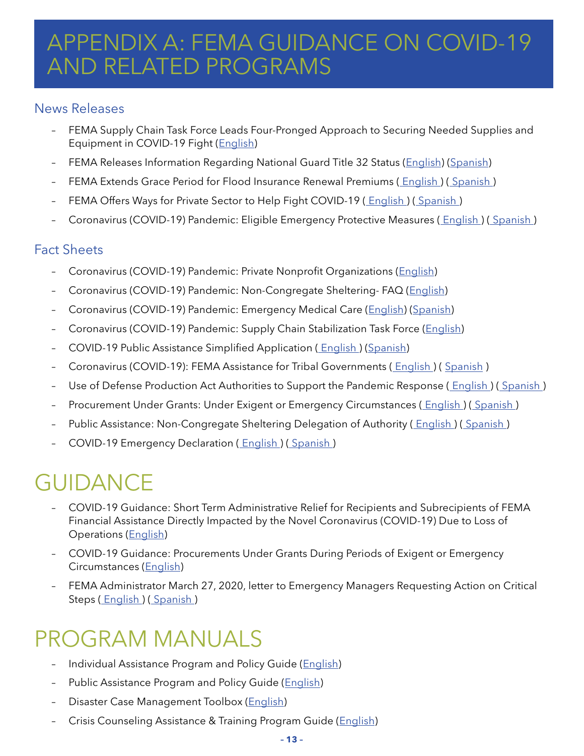# <span id="page-14-0"></span>APPENDIX A: FEMA GUIDANCE ON COVID-19 AND RELATED PROGRAMS

### News Releases

- FEMA Supply Chain Task Force Leads Four-Pronged Approach to Securing Needed Supplies and Equipment in COVID-19 Fight [\(English\)](https://www.fema.gov/fema-supply-chain-task-force-leads-four)
- FEMA Releases Information Regarding National Guard Title 32 Status ([English\)](https://www.fema.gov/national-guard-title-32-status) [\(Spanish](https://www.fema.gov/es/news-release/2020/03/29/fema-comparte-informacion-respecto-al-titulo-32-de-la-guardia-nacional))
- FEMA Extends Grace Period for Flood Insurance Renewal Premiums (English) (Spanish)
- FEMA Offers Ways for Private Sector to Help Fight COVID-19 (English) (Spanish)
- Coronavirus (COVID-19) Pandemic: Eligible Emergency Protective Measures ( [English](https://www.fema.gov/news-release/2020/03/19/coronavirus-covid-19-pandemic-eligible-emergency-protective-measures) ) ( [Spanish](https://www.fema.gov/es/news-release/2020/03/19/la-pandemia-del-coronavirus-covid-19-medidas-de-proteccion-en-emergencias) )

# Fact Sheets

- Coronavirus (COVID-19) Pandemic: Private Nonprofit Organizations [\(English](https://www.fema.gov/news-release/2020/04/02/coronavirus-covid19-pandemic-private-nonprofit-organizations))
- Coronavirus (COVID-19) Pandemic: Non-Congregate Sheltering- FAQ [\(English](https://www.fema.gov/news-release/2020/03/31/coronavirus-covid-19-pandemic-non-congregate-sheltering))
- Coronavirus (COVID-19) Pandemic: Emergency Medical Care [\(English](https://www.fema.gov/news-release/2020/03/31/coronavirus-covid-19-pandemic-emergency-medical-care)) ([Spanish\)](https://www.fema.gov/es/news-release/2020/03/31/pandemia-del-coronavirus-covid-19-atencion-medica-de-emergencia)
- Coronavirus (COVID-19) Pandemic: Supply Chain Stabilization Task Force [\(English](https://www.fema.gov/fema-supply-chain-stabilization-task-force))
- COVID-19 Public Assistance Simplified Application (English) [\(Spanish\)](https://www.fema.gov/es/news-release/2020/03/23/pandemia-de-coronavirus-covid-19-solicitud-simplificada-de-asistencia)
- Coronavirus (COVID-19): FEMA Assistance for Tribal Governments ( [English](https://www.fema.gov/news-release/2020/03/22/coronavirus-covid-19-response-tribal-recipients) ) ( [Spanish](https://www.fema.gov/es/news-release/2020/03/22/la-respuesta-al-coronavirus-covid-19-beneficiarios-tribales) )
- Use of Defense Production Act Authorities to Support the Pandemic Response (English) (Spanish)
- Procurement Under Grants: Under Exigent or Emergency Circumstances ( [English \)](https://www.fema.gov/news-release/2020/03/20/procurement-under-grants-under-exigent-or-emergency-circumstances) [\( Spanish \)](https://www.fema.gov/es/news-release/2020/03/20/adquisiciones-en-el-marco-de-las-subvenciones-circunstancias-apremiantes-o)
- Public Assistance: Non-Congregate Sheltering Delegation of Authority (*English*) (*Spanish*)
- COVID-19 Emergency Declaration [\( English \)](https://www.fema.gov/news-release/2020/03/13/covid-19-emergency-declaration) [\( Spanish \)](https://www.fema.gov/es/news-release/2020/03/13/declaracion-de-emergencia-covid-19)

# GUIDANCE

- COVID-19 Guidance: Short Term Administrative Relief for Recipients and Subrecipients of FEMA Financial Assistance Directly Impacted by the Novel Coronavirus (COVID-19) Due to Loss of Operations [\(English](https://www.fema.gov/media-library/assets/documents/186684))
- COVID-19 Guidance: Procurements Under Grants During Periods of Exigent or Emergency Circumstances [\(English](https://www.fema.gov/media-library/assets/documents/186350))
- FEMA Administrator March 27, 2020, letter to Emergency Managers Requesting Action on Critical Steps (English) (Spanish)

# PROGRAM MANUALS

- Individual Assistance Program and Policy Guide ([English\)](https://www.fema.gov/media-library-data/1551713430046-1abf12182d2d5e622d16accb37c4d163/IAPPG.pdf)
- Public Assistance Program and Policy Guide ([English\)](https://www.fema.gov/media-library-data/1525468328389-4a038bbef9081cd7dfe7538e7751aa9c/PAPPG_3.1_508_FINAL_5-4-2018.pdf)
- Disaster Case Management Toolbox ([English\)](https://www.fema.gov/media-library-data/1551713430046-1abf12182d2d5e622d16accb37c4d163/IAPPG.pdf)
- Crisis Counseling Assistance & Training Program Guide ([English\)](https://www.fema.gov/media-library-data/1528985113410-3a25afaac233c0ad90a0c377e29d7e73/CrisisCounselingProgram.pdf)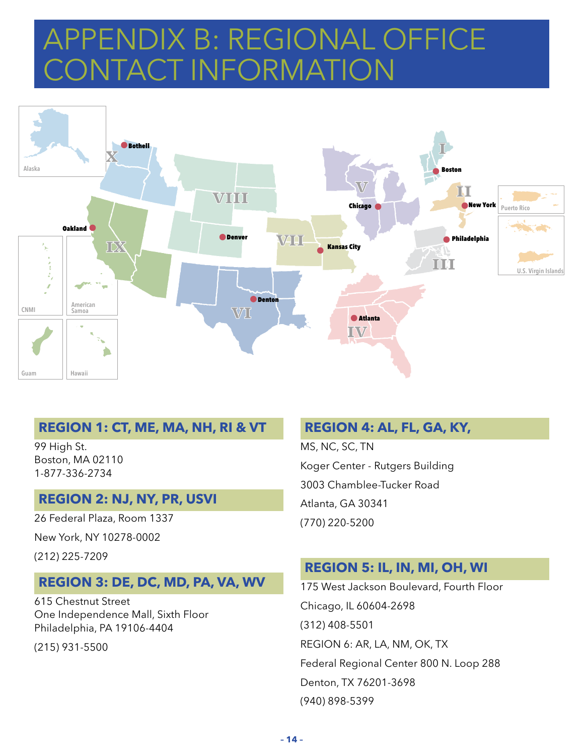# <span id="page-15-0"></span>APPENDIX B: REGIONAL OFFICE CONTACT INFORMATION



#### **REGION 1: CT, ME, MA, NH, RI & VT**

99 High St. Boston, MA 02110 1-877-336-2734

#### **REGION 2: NJ, NY, PR, USVI**

26 Federal Plaza, Room 1337

New York, NY 10278-0002

(212) 225-7209

### **REGION 3: DE, DC, MD, PA, VA, WV**

615 Chestnut Street One Independence Mall, Sixth Floor Philadelphia, PA 19106-4404

(215) 931-5500

### **REGION 4: AL, FL, GA, KY,**

MS, NC, SC, TN Koger Center - Rutgers Building 3003 Chamblee-Tucker Road Atlanta, GA 30341 (770) 220-5200

### **REGION 5: IL, IN, MI, OH, WI**

175 West Jackson Boulevard, Fourth Floor Chicago, IL 60604-2698 (312) 408-5501 REGION 6: AR, LA, NM, OK, TX Federal Regional Center 800 N. Loop 288 Denton, TX 76201-3698 (940) 898-5399